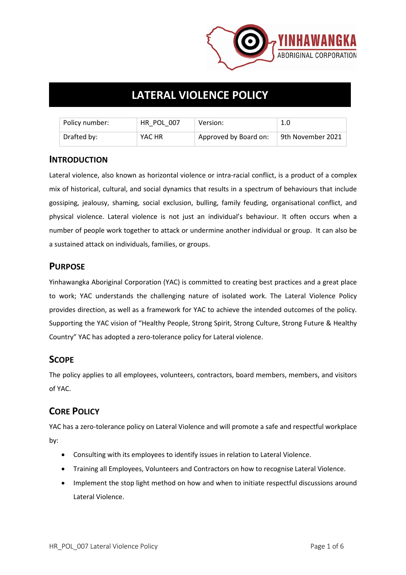

# **LATERAL VIOLENCE POLICY**

| Policy number: | HR POL 007 | Version:              | 1.0                            |
|----------------|------------|-----------------------|--------------------------------|
| Drafted by:    | YAC HR     | Approved by Board on: | <sup>9</sup> 9th November 2021 |

## **INTRODUCTION**

Lateral violence, also known as horizontal violence or intra-racial conflict, is a product of a complex mix of historical, cultural, and social dynamics that results in a spectrum of behaviours that include gossiping, jealousy, shaming, social exclusion, bulling, family feuding, organisational conflict, and physical violence. Lateral violence is not just an individual's behaviour. It often occurs when a number of people work together to attack or undermine another individual or group. It can also be a sustained attack on individuals, families, or groups.

# **PURPOSE**

Yinhawangka Aboriginal Corporation (YAC) is committed to creating best practices and a great place to work; YAC understands the challenging nature of isolated work. The Lateral Violence Policy provides direction, as well as a framework for YAC to achieve the intended outcomes of the policy. Supporting the YAC vision of "Healthy People, Strong Spirit, Strong Culture, Strong Future & Healthy Country" YAC has adopted a zero-tolerance policy for Lateral violence.

# **SCOPE**

The policy applies to all employees, volunteers, contractors, board members, members, and visitors of YAC.

# **CORE POLICY**

YAC has a zero-tolerance policy on Lateral Violence and will promote a safe and respectful workplace by:

- Consulting with its employees to identify issues in relation to Lateral Violence.
- Training all Employees, Volunteers and Contractors on how to recognise Lateral Violence.
- Implement the stop light method on how and when to initiate respectful discussions around Lateral Violence.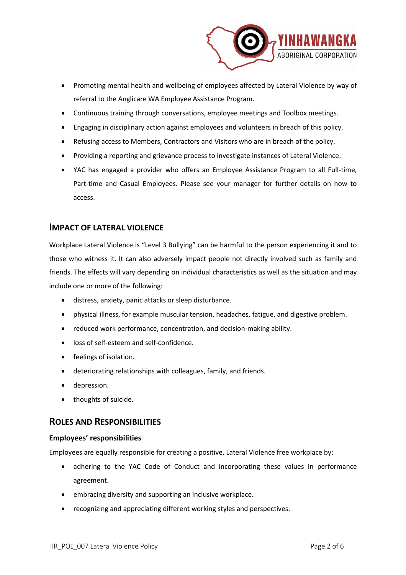

- Promoting mental health and wellbeing of employees affected by Lateral Violence by way of referral to the Anglicare WA Employee Assistance Program.
- Continuous training through conversations, employee meetings and Toolbox meetings.
- Engaging in disciplinary action against employees and volunteers in breach of this policy.
- Refusing access to Members, Contractors and Visitors who are in breach of the policy.
- Providing a reporting and grievance process to investigate instances of Lateral Violence.
- YAC has engaged a provider who offers an Employee Assistance Program to all Full-time, Part-time and Casual Employees. Please see your manager for further details on how to access.

## **IMPACT OF LATERAL VIOLENCE**

Workplace Lateral Violence is "Level 3 Bullying" can be harmful to the person experiencing it and to those who witness it. It can also adversely impact people not directly involved such as family and friends. The effects will vary depending on individual characteristics as well as the situation and may include one or more of the following:

- distress, anxiety, panic attacks or sleep disturbance.
- physical illness, for example muscular tension, headaches, fatigue, and digestive problem.
- reduced work performance, concentration, and decision-making ability.
- loss of self-esteem and self-confidence.
- feelings of isolation.
- deteriorating relationships with colleagues, family, and friends.
- depression.
- thoughts of suicide.

# **ROLES AND RESPONSIBILITIES**

#### **Employees' responsibilities**

Employees are equally responsible for creating a positive, Lateral Violence free workplace by:

- adhering to the YAC Code of Conduct and incorporating these values in performance agreement.
- embracing diversity and supporting an inclusive workplace.
- recognizing and appreciating different working styles and perspectives.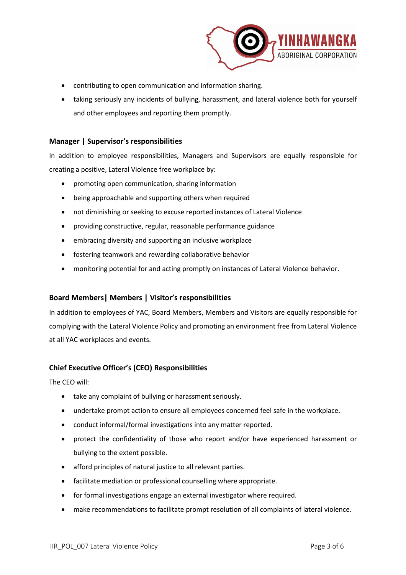

- contributing to open communication and information sharing.
- taking seriously any incidents of bullying, harassment, and lateral violence both for yourself and other employees and reporting them promptly.

#### **Manager | Supervisor's responsibilities**

In addition to employee responsibilities, Managers and Supervisors are equally responsible for creating a positive, Lateral Violence free workplace by:

- promoting open communication, sharing information
- being approachable and supporting others when required
- not diminishing or seeking to excuse reported instances of Lateral Violence
- providing constructive, regular, reasonable performance guidance
- embracing diversity and supporting an inclusive workplace
- fostering teamwork and rewarding collaborative behavior
- monitoring potential for and acting promptly on instances of Lateral Violence behavior.

#### **Board Members| Members | Visitor's responsibilities**

In addition to employees of YAC, Board Members, Members and Visitors are equally responsible for complying with the Lateral Violence Policy and promoting an environment free from Lateral Violence at all YAC workplaces and events.

#### **Chief Executive Officer's (CEO) Responsibilities**

The CEO will:

- take any complaint of bullying or harassment seriously.
- undertake prompt action to ensure all employees concerned feel safe in the workplace.
- conduct informal/formal investigations into any matter reported.
- protect the confidentiality of those who report and/or have experienced harassment or bullying to the extent possible.
- afford principles of natural justice to all relevant parties.
- facilitate mediation or professional counselling where appropriate.
- for formal investigations engage an external investigator where required.
- make recommendations to facilitate prompt resolution of all complaints of lateral violence.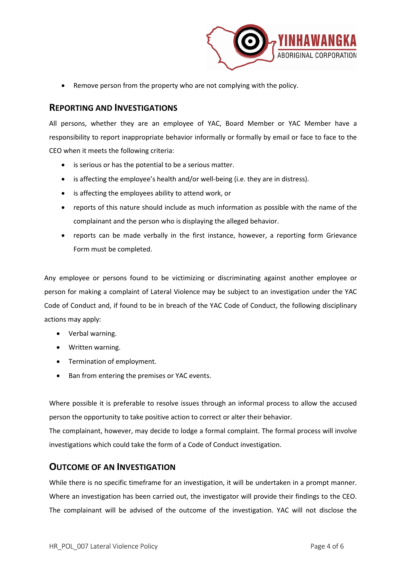

• Remove person from the property who are not complying with the policy.

## **REPORTING AND INVESTIGATIONS**

All persons, whether they are an employee of YAC, Board Member or YAC Member have a responsibility to report inappropriate behavior informally or formally by email or face to face to the CEO when it meets the following criteria:

- is serious or has the potential to be a serious matter.
- is affecting the employee's health and/or well-being (i.e. they are in distress).
- is affecting the employees ability to attend work, or
- reports of this nature should include as much information as possible with the name of the complainant and the person who is displaying the alleged behavior.
- reports can be made verbally in the first instance, however, a reporting form Grievance Form must be completed.

Any employee or persons found to be victimizing or discriminating against another employee or person for making a complaint of Lateral Violence may be subject to an investigation under the YAC Code of Conduct and, if found to be in breach of the YAC Code of Conduct, the following disciplinary actions may apply:

- Verbal warning.
- Written warning.
- Termination of employment.
- Ban from entering the premises or YAC events.

Where possible it is preferable to resolve issues through an informal process to allow the accused person the opportunity to take positive action to correct or alter their behavior.

The complainant, however, may decide to lodge a formal complaint. The formal process will involve investigations which could take the form of a Code of Conduct investigation.

## **OUTCOME OF AN INVESTIGATION**

While there is no specific timeframe for an investigation, it will be undertaken in a prompt manner. Where an investigation has been carried out, the investigator will provide their findings to the CEO. The complainant will be advised of the outcome of the investigation. YAC will not disclose the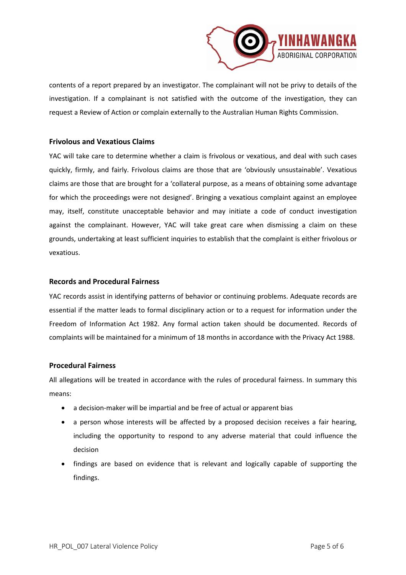

contents of a report prepared by an investigator. The complainant will not be privy to details of the investigation. If a complainant is not satisfied with the outcome of the investigation, they can request a Review of Action or complain externally to the Australian Human Rights Commission.

#### **Frivolous and Vexatious Claims**

YAC will take care to determine whether a claim is frivolous or vexatious, and deal with such cases quickly, firmly, and fairly. Frivolous claims are those that are 'obviously unsustainable'. Vexatious claims are those that are brought for a 'collateral purpose, as a means of obtaining some advantage for which the proceedings were not designed'. Bringing a vexatious complaint against an employee may, itself, constitute unacceptable behavior and may initiate a code of conduct investigation against the complainant. However, YAC will take great care when dismissing a claim on these grounds, undertaking at least sufficient inquiries to establish that the complaint is either frivolous or vexatious.

#### **Records and Procedural Fairness**

YAC records assist in identifying patterns of behavior or continuing problems. Adequate records are essential if the matter leads to formal disciplinary action or to a request for information under the Freedom of Information Act 1982. Any formal action taken should be documented. Records of complaints will be maintained for a minimum of 18 months in accordance with the Privacy Act 1988.

#### **Procedural Fairness**

All allegations will be treated in accordance with the rules of procedural fairness. In summary this means:

- a decision-maker will be impartial and be free of actual or apparent bias
- a person whose interests will be affected by a proposed decision receives a fair hearing, including the opportunity to respond to any adverse material that could influence the decision
- findings are based on evidence that is relevant and logically capable of supporting the findings.